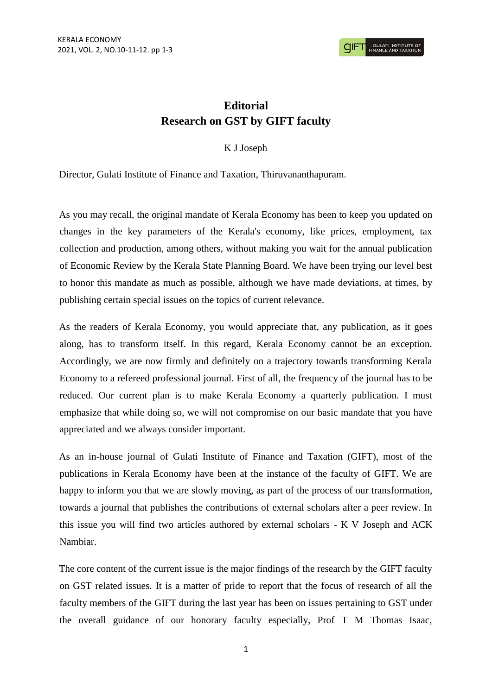## **Editorial Research on GST by GIFT faculty**

## K J Joseph

Director, Gulati Institute of Finance and Taxation, Thiruvananthapuram.

As you may recall, the original mandate of Kerala Economy has been to keep you updated on changes in the key parameters of the Kerala's economy, like prices, employment, tax collection and production, among others, without making you wait for the annual publication of Economic Review by the Kerala State Planning Board. We have been trying our level best to honor this mandate as much as possible, although we have made deviations, at times, by publishing certain special issues on the topics of current relevance.

As the readers of Kerala Economy, you would appreciate that, any publication, as it goes along, has to transform itself. In this regard, Kerala Economy cannot be an exception. Accordingly, we are now firmly and definitely on a trajectory towards transforming Kerala Economy to a refereed professional journal. First of all, the frequency of the journal has to be reduced. Our current plan is to make Kerala Economy a quarterly publication. I must emphasize that while doing so, we will not compromise on our basic mandate that you have appreciated and we always consider important.

As an in-house journal of Gulati Institute of Finance and Taxation (GIFT), most of the publications in Kerala Economy have been at the instance of the faculty of GIFT. We are happy to inform you that we are slowly moving, as part of the process of our transformation, towards a journal that publishes the contributions of external scholars after a peer review. In this issue you will find two articles authored by external scholars - K V Joseph and ACK Nambiar.

The core content of the current issue is the major findings of the research by the GIFT faculty on GST related issues. It is a matter of pride to report that the focus of research of all the faculty members of the GIFT during the last year has been on issues pertaining to GST under the overall guidance of our honorary faculty especially, Prof T M Thomas Isaac,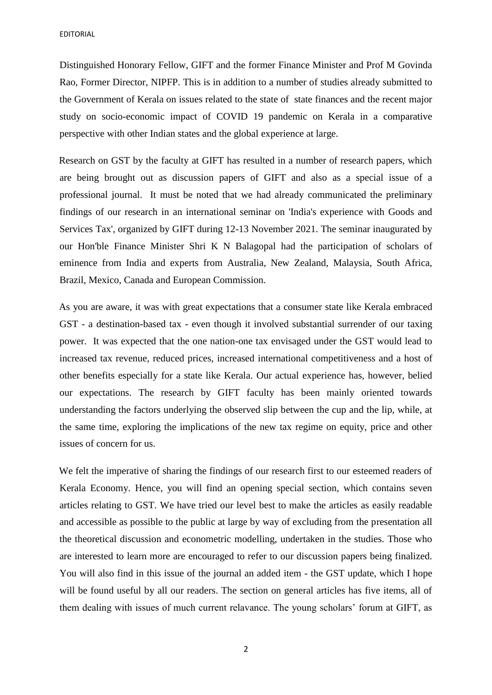EDITORIAL

Distinguished Honorary Fellow, GIFT and the former Finance Minister and Prof M Govinda Rao, Former Director, NIPFP. This is in addition to a number of studies already submitted to the Government of Kerala on issues related to the state of state finances and the recent major study on socio-economic impact of COVID 19 pandemic on Kerala in a comparative perspective with other Indian states and the global experience at large.

Research on GST by the faculty at GIFT has resulted in a number of research papers, which are being brought out as discussion papers of GIFT and also as a special issue of a professional journal. It must be noted that we had already communicated the preliminary findings of our research in an international seminar on 'India's experience with Goods and Services Tax', organized by GIFT during 12-13 November 2021. The seminar inaugurated by our Hon'ble Finance Minister Shri K N Balagopal had the participation of scholars of eminence from India and experts from Australia, New Zealand, Malaysia, South Africa, Brazil, Mexico, Canada and European Commission.

As you are aware, it was with great expectations that a consumer state like Kerala embraced GST - a destination-based tax - even though it involved substantial surrender of our taxing power. It was expected that the one nation-one tax envisaged under the GST would lead to increased tax revenue, reduced prices, increased international competitiveness and a host of other benefits especially for a state like Kerala. Our actual experience has, however, belied our expectations. The research by GIFT faculty has been mainly oriented towards understanding the factors underlying the observed slip between the cup and the lip, while, at the same time, exploring the implications of the new tax regime on equity, price and other issues of concern for us.

We felt the imperative of sharing the findings of our research first to our esteemed readers of Kerala Economy. Hence, you will find an opening special section, which contains seven articles relating to GST. We have tried our level best to make the articles as easily readable and accessible as possible to the public at large by way of excluding from the presentation all the theoretical discussion and econometric modelling, undertaken in the studies. Those who are interested to learn more are encouraged to refer to our discussion papers being finalized. You will also find in this issue of the journal an added item - the GST update, which I hope will be found useful by all our readers. The section on general articles has five items, all of them dealing with issues of much current relavance. The young scholars' forum at GIFT, as